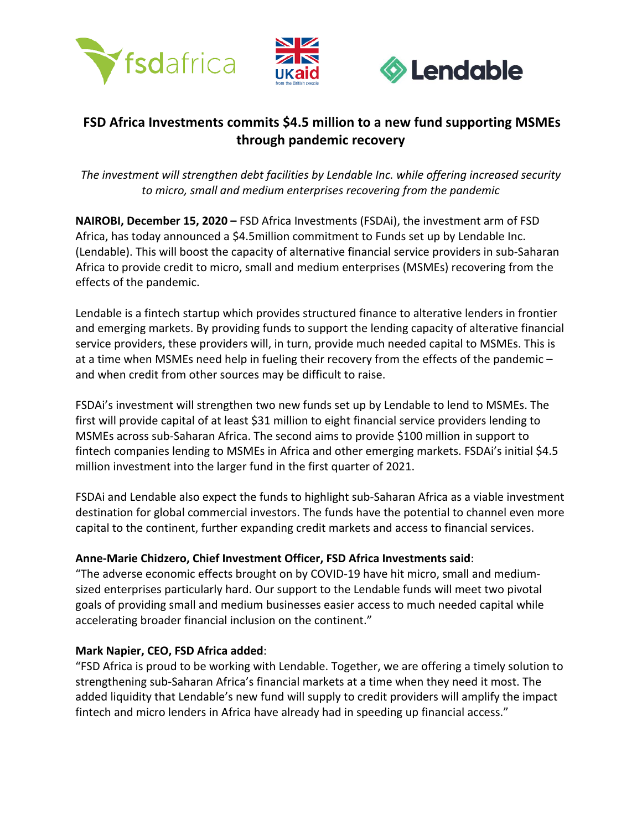



# **FSD Africa Investments commits \$4.5 million to a new fund supporting MSMEs through pandemic recovery**

ļ,

*The investment will strengthen debt facilities by Lendable Inc. while offering increased security to micro, small and medium enterprises recovering from the pandemic*

**NAIROBI, December 15, 2020 –** FSD Africa Investments (FSDAi), the investment arm of FSD Africa, has today announced a \$4.5million commitment to Funds set up by Lendable Inc. (Lendable). This will boost the capacity of alternative financial service providers in sub-Saharan Africa to provide credit to micro, small and medium enterprises (MSMEs) recovering from the effects of the pandemic.

Lendable is a fintech startup which provides structured finance to alterative lenders in frontier and emerging markets. By providing funds to support the lending capacity of alterative financial service providers, these providers will, in turn, provide much needed capital to MSMEs. This is at a time when MSMEs need help in fueling their recovery from the effects of the pandemic – and when credit from other sources may be difficult to raise.

FSDAi's investment will strengthen two new funds set up by Lendable to lend to MSMEs. The first will provide capital of at least \$31 million to eight financial service providers lending to MSMEs across sub-Saharan Africa. The second aims to provide \$100 million in support to fintech companies lending to MSMEs in Africa and other emerging markets. FSDAi's initial \$4.5 million investment into the larger fund in the first quarter of 2021.

FSDAi and Lendable also expect the funds to highlight sub-Saharan Africa as a viable investment destination for global commercial investors. The funds have the potential to channel even more capital to the continent, further expanding credit markets and access to financial services.

## **Anne-Marie Chidzero, Chief Investment Officer, FSD Africa Investments said**:

"The adverse economic effects brought on by COVID-19 have hit micro, small and mediumsized enterprises particularly hard. Our support to the Lendable funds will meet two pivotal goals of providing small and medium businesses easier access to much needed capital while accelerating broader financial inclusion on the continent."

### **Mark Napier, CEO, FSD Africa added**:

"FSD Africa is proud to be working with Lendable. Together, we are offering a timely solution to strengthening sub-Saharan Africa's financial markets at a time when they need it most. The added liquidity that Lendable's new fund will supply to credit providers will amplify the impact fintech and micro lenders in Africa have already had in speeding up financial access."